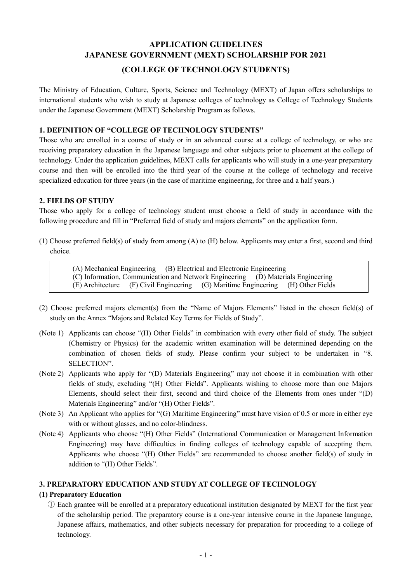# **APPLICATION GUIDELINES JAPANESE GOVERNMENT (MEXT) SCHOLARSHIP FOR 2021**

## **(COLLEGE OF TECHNOLOGY STUDENTS)**

The Ministry of Education, Culture, Sports, Science and Technology (MEXT) of Japan offers scholarships to international students who wish to study at Japanese colleges of technology as College of Technology Students under the Japanese Government (MEXT) Scholarship Program as follows.

#### **1. DEFINITION OF "COLLEGE OF TECHNOLOGY STUDENTS"**

Those who are enrolled in a course of study or in an advanced course at a college of technology, or who are receiving preparatory education in the Japanese language and other subjects prior to placement at the college of technology. Under the application guidelines, MEXT calls for applicants who will study in a one-year preparatory course and then will be enrolled into the third year of the course at the college of technology and receive specialized education for three years (in the case of maritime engineering, for three and a half years.)

#### **2. FIELDS OF STUDY**

Those who apply for a college of technology student must choose a field of study in accordance with the following procedure and fill in "Preferred field of study and majors elements" on the application form.

(1) Choose preferred field(s) of study from among (A) to (H) below. Applicants may enter a first, second and third choice.

(A) Mechanical Engineering (B) Electrical and Electronic Engineering (C) Information, Communication and Network Engineering (D) Materials Engineering (E) Architecture (F) Civil Engineering (G) Maritime Engineering (H) Other Fields

- (2) Choose preferred majors element(s) from the "Name of Majors Elements" listed in the chosen field(s) of study on the Annex "Majors and Related Key Terms for Fields of Study".
- (Note 1) Applicants can choose "(H) Other Fields" in combination with every other field of study. The subject (Chemistry or Physics) for the academic written examination will be determined depending on the combination of chosen fields of study. Please confirm your subject to be undertaken in "8. SELECTION".
- (Note 2) Applicants who apply for "(D) Materials Engineering" may not choose it in combination with other fields of study, excluding "(H) Other Fields". Applicants wishing to choose more than one Majors Elements, should select their first, second and third choice of the Elements from ones under "(D) Materials Engineering" and/or "(H) Other Fields".
- (Note 3) An Applicant who applies for "(G) Maritime Engineering" must have vision of 0.5 or more in either eye with or without glasses, and no color-blindness.
- (Note 4) Applicants who choose "(H) Other Fields" (International Communication or Management Information Engineering) may have difficulties in finding colleges of technology capable of accepting them. Applicants who choose "(H) Other Fields" are recommended to choose another field(s) of study in addition to "(H) Other Fields".

### **3. PREPARATORY EDUCATION AND STUDY AT COLLEGE OF TECHNOLOGY**

### **(1) Preparatory Education**

① Each grantee will be enrolled at a preparatory educational institution designated by MEXT for the first year of the scholarship period. The preparatory course is a one-year intensive course in the Japanese language, Japanese affairs, mathematics, and other subjects necessary for preparation for proceeding to a college of technology.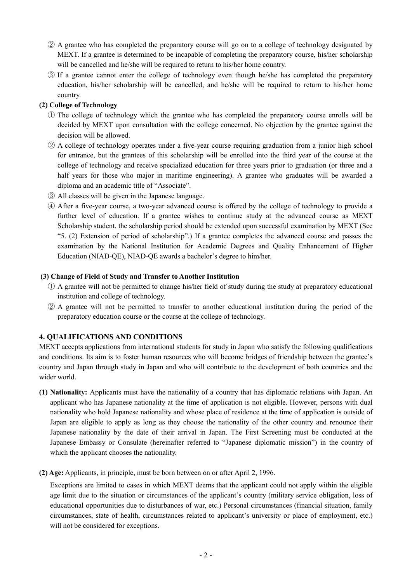- ② A grantee who has completed the preparatory course will go on to a college of technology designated by MEXT. If a grantee is determined to be incapable of completing the preparatory course, his/her scholarship will be cancelled and he/she will be required to return to his/her home country.
- ③ If a grantee cannot enter the college of technology even though he/she has completed the preparatory education, his/her scholarship will be cancelled, and he/she will be required to return to his/her home country.

#### **(2) College of Technology**

- ① The college of technology which the grantee who has completed the preparatory course enrolls will be decided by MEXT upon consultation with the college concerned. No objection by the grantee against the decision will be allowed.
- ② A college of technology operates under a five-year course requiring graduation from a junior high school for entrance, but the grantees of this scholarship will be enrolled into the third year of the course at the college of technology and receive specialized education for three years prior to graduation (or three and a half years for those who major in maritime engineering). A grantee who graduates will be awarded a diploma and an academic title of "Associate".
- ③ All classes will be given in the Japanese language.
- ④ After a five-year course, a two-year advanced course is offered by the college of technology to provide a further level of education. If a grantee wishes to continue study at the advanced course as MEXT Scholarship student, the scholarship period should be extended upon successful examination by MEXT (See "5. (2) Extension of period of scholarship".) If a grantee completes the advanced course and passes the examination by the National Institution for Academic Degrees and Quality Enhancement of Higher Education (NIAD-QE), NIAD-QE awards a bachelor's degree to him/her.

#### **(3) Change of Field of Study and Transfer to Another Institution**

- ① A grantee will not be permitted to change his/her field of study during the study at preparatory educational institution and college of technology.
- ② A grantee will not be permitted to transfer to another educational institution during the period of the preparatory education course or the course at the college of technology.

### **4. QUALIFICATIONS AND CONDITIONS**

MEXT accepts applications from international students for study in Japan who satisfy the following qualifications and conditions. Its aim is to foster human resources who will become bridges of friendship between the grantee's country and Japan through study in Japan and who will contribute to the development of both countries and the wider world.

- **(1) Nationality:** Applicants must have the nationality of a country that has diplomatic relations with Japan. An applicant who has Japanese nationality at the time of application is not eligible. However, persons with dual nationality who hold Japanese nationality and whose place of residence at the time of application is outside of Japan are eligible to apply as long as they choose the nationality of the other country and renounce their Japanese nationality by the date of their arrival in Japan. The First Screening must be conducted at the Japanese Embassy or Consulate (hereinafter referred to "Japanese diplomatic mission") in the country of which the applicant chooses the nationality.
- **(2) Age:** Applicants, in principle, must be born between on or after April 2, 1996.

Exceptions are limited to cases in which MEXT deems that the applicant could not apply within the eligible age limit due to the situation or circumstances of the applicant's country (military service obligation, loss of educational opportunities due to disturbances of war, etc.) Personal circumstances (financial situation, family circumstances, state of health, circumstances related to applicant's university or place of employment, etc.) will not be considered for exceptions.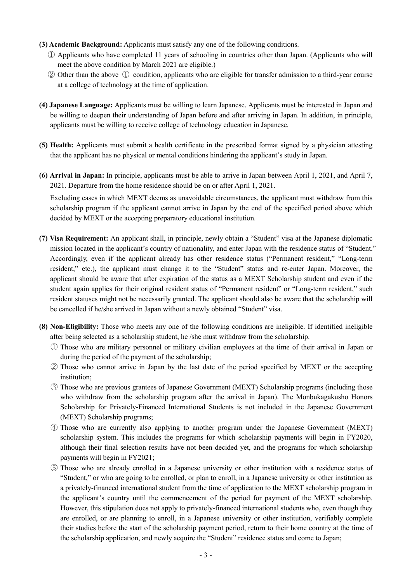- **(3) Academic Background:** Applicants must satisfy any one of the following conditions.
	- ① Applicants who have completed 11 years of schooling in countries other than Japan. (Applicants who will meet the above condition by March 2021 are eligible.)
	- ② Other than the above ① condition, applicants who are eligible for transfer admission to a third-year course at a college of technology at the time of application.
- **(4) Japanese Language:** Applicants must be willing to learn Japanese. Applicants must be interested in Japan and be willing to deepen their understanding of Japan before and after arriving in Japan. In addition, in principle, applicants must be willing to receive college of technology education in Japanese.
- **(5) Health:** Applicants must submit a health certificate in the prescribed format signed by a physician attesting that the applicant has no physical or mental conditions hindering the applicant's study in Japan.
- **(6) Arrival in Japan:** In principle, applicants must be able to arrive in Japan between April 1, 2021, and April 7, 2021. Departure from the home residence should be on or after April 1, 2021.

Excluding cases in which MEXT deems as unavoidable circumstances, the applicant must withdraw from this scholarship program if the applicant cannot arrive in Japan by the end of the specified period above which decided by MEXT or the accepting preparatory educational institution.

- **(7) Visa Requirement:** An applicant shall, in principle, newly obtain a "Student" visa at the Japanese diplomatic mission located in the applicant's country of nationality, and enter Japan with the residence status of "Student." Accordingly, even if the applicant already has other residence status ("Permanent resident," "Long-term resident," etc.), the applicant must change it to the "Student" status and re-enter Japan. Moreover, the applicant should be aware that after expiration of the status as a MEXT Scholarship student and even if the student again applies for their original resident status of "Permanent resident" or "Long-term resident," such resident statuses might not be necessarily granted. The applicant should also be aware that the scholarship will be cancelled if he/she arrived in Japan without a newly obtained "Student" visa.
- **(8) Non-Eligibility:** Those who meets any one of the following conditions are ineligible. If identified ineligible after being selected as a scholarship student, he /she must withdraw from the scholarship.
	- ① Those who are military personnel or military civilian employees at the time of their arrival in Japan or during the period of the payment of the scholarship;
	- ② Those who cannot arrive in Japan by the last date of the period specified by MEXT or the accepting institution;
	- ③ Those who are previous grantees of Japanese Government (MEXT) Scholarship programs (including those who withdraw from the scholarship program after the arrival in Japan). The Monbukagakusho Honors Scholarship for Privately-Financed International Students is not included in the Japanese Government (MEXT) Scholarship programs;
	- ④ Those who are currently also applying to another program under the Japanese Government (MEXT) scholarship system. This includes the programs for which scholarship payments will begin in FY2020, although their final selection results have not been decided yet, and the programs for which scholarship payments will begin in FY2021;
	- ⑤ Those who are already enrolled in a Japanese university or other institution with a residence status of "Student," or who are going to be enrolled, or plan to enroll, in a Japanese university or other institution as a privately-financed international student from the time of application to the MEXT scholarship program in the applicant's country until the commencement of the period for payment of the MEXT scholarship. However, this stipulation does not apply to privately-financed international students who, even though they are enrolled, or are planning to enroll, in a Japanese university or other institution, verifiably complete their studies before the start of the scholarship payment period, return to their home country at the time of the scholarship application, and newly acquire the "Student" residence status and come to Japan;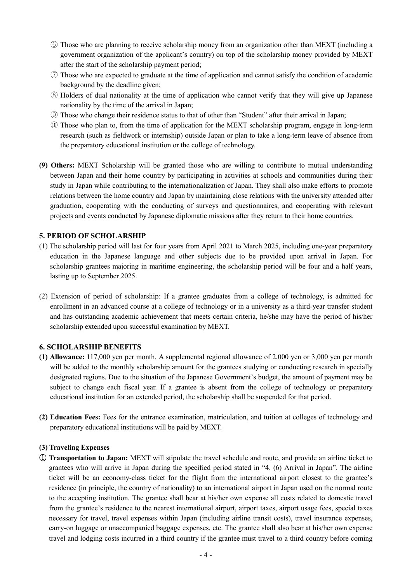- ⑥ Those who are planning to receive scholarship money from an organization other than MEXT (including a government organization of the applicant's country) on top of the scholarship money provided by MEXT after the start of the scholarship payment period;
- ⑦ Those who are expected to graduate at the time of application and cannot satisfy the condition of academic background by the deadline given;
- ⑧ Holders of dual nationality at the time of application who cannot verify that they will give up Japanese nationality by the time of the arrival in Japan;
- ⑨ Those who change their residence status to that of other than "Student" after their arrival in Japan;
- ⑩ Those who plan to, from the time of application for the MEXT scholarship program, engage in long-term research (such as fieldwork or internship) outside Japan or plan to take a long-term leave of absence from the preparatory educational institution or the college of technology.
- **(9) Others:** MEXT Scholarship will be granted those who are willing to contribute to mutual understanding between Japan and their home country by participating in activities at schools and communities during their study in Japan while contributing to the internationalization of Japan. They shall also make efforts to promote relations between the home country and Japan by maintaining close relations with the university attended after graduation, cooperating with the conducting of surveys and questionnaires, and cooperating with relevant projects and events conducted by Japanese diplomatic missions after they return to their home countries.

#### **5. PERIOD OF SCHOLARSHIP**

- (1) The scholarship period will last for four years from April 2021 to March 2025, including one-year preparatory education in the Japanese language and other subjects due to be provided upon arrival in Japan. For scholarship grantees majoring in maritime engineering, the scholarship period will be four and a half years, lasting up to September 2025.
- (2) Extension of period of scholarship: If a grantee graduates from a college of technology, is admitted for enrollment in an advanced course at a college of technology or in a university as a third-year transfer student and has outstanding academic achievement that meets certain criteria, he/she may have the period of his/her scholarship extended upon successful examination by MEXT.

#### **6. SCHOLARSHIP BENEFITS**

- **(1) Allowance:** 117,000 yen per month. A supplemental regional allowance of 2,000 yen or 3,000 yen per month will be added to the monthly scholarship amount for the grantees studying or conducting research in specially designated regions. Due to the situation of the Japanese Government's budget, the amount of payment may be subject to change each fiscal year. If a grantee is absent from the college of technology or preparatory educational institution for an extended period, the scholarship shall be suspended for that period.
- **(2) Education Fees:** Fees for the entrance examination, matriculation, and tuition at colleges of technology and preparatory educational institutions will be paid by MEXT.

#### **(3) Traveling Expenses**

① **Transportation to Japan:** MEXT will stipulate the travel schedule and route, and provide an airline ticket to grantees who will arrive in Japan during the specified period stated in "4. (6) Arrival in Japan". The airline ticket will be an economy-class ticket for the flight from the international airport closest to the grantee's residence (in principle, the country of nationality) to an international airport in Japan used on the normal route to the accepting institution. The grantee shall bear at his/her own expense all costs related to domestic travel from the grantee's residence to the nearest international airport, airport taxes, airport usage fees, special taxes necessary for travel, travel expenses within Japan (including airline transit costs), travel insurance expenses, carry-on luggage or unaccompanied baggage expenses, etc. The grantee shall also bear at his/her own expense travel and lodging costs incurred in a third country if the grantee must travel to a third country before coming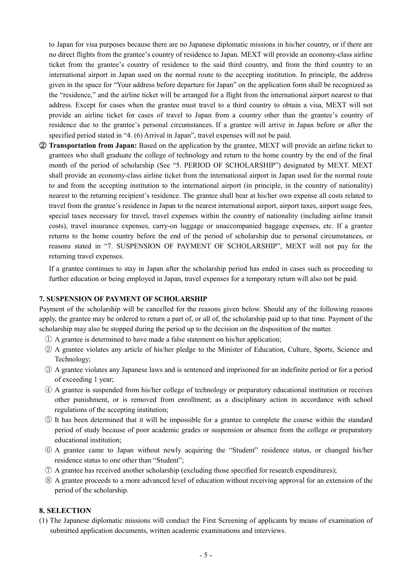to Japan for visa purposes because there are no Japanese diplomatic missions in his/her country, or if there are no direct flights from the grantee's country of residence to Japan. MEXT will provide an economy-class airline ticket from the grantee's country of residence to the said third country, and from the third country to an international airport in Japan used on the normal route to the accepting institution. In principle, the address given in the space for "Your address before departure for Japan" on the application form shall be recognized as the "residence," and the airline ticket will be arranged for a flight from the international airport nearest to that address. Except for cases when the grantee must travel to a third country to obtain a visa, MEXT will not provide an airline ticket for cases of travel to Japan from a country other than the grantee's country of residence due to the grantee's personal circumstances. If a grantee will arrive in Japan before or after the specified period stated in "4. (6) Arrival in Japan", travel expenses will not be paid.

② **Transportation from Japan:** Based on the application by the grantee, MEXT will provide an airline ticket to grantees who shall graduate the college of technology and return to the home country by the end of the final month of the period of scholarship (See "5. PERIOD OF SCHOLARSHIP") designated by MEXT. MEXT shall provide an economy-class airline ticket from the international airport in Japan used for the normal route to and from the accepting institution to the international airport (in principle, in the country of nationality) nearest to the returning recipient's residence. The grantee shall bear at his/her own expense all costs related to travel from the grantee's residence in Japan to the nearest international airport, airport taxes, airport usage fees, special taxes necessary for travel, travel expenses within the country of nationality (including airline transit costs), travel insurance expenses, carry-on luggage or unaccompanied baggage expenses, etc. If a grantee returns to the home country before the end of the period of scholarship due to personal circumstances, or reasons stated in "7. SUSPENSION OF PAYMENT OF SCHOLARSHIP", MEXT will not pay for the returning travel expenses.

If a grantee continues to stay in Japan after the scholarship period has ended in cases such as proceeding to further education or being employed in Japan, travel expenses for a temporary return will also not be paid.

#### **7. SUSPENSION OF PAYMENT OF SCHOLARSHIP**

Payment of the scholarship will be cancelled for the reasons given below. Should any of the following reasons apply, the grantee may be ordered to return a part of, or all of, the scholarship paid up to that time. Payment of the scholarship may also be stopped during the period up to the decision on the disposition of the matter.

- ① A grantee is determined to have made a false statement on his/her application;
- ② A grantee violates any article of his/her pledge to the Minister of Education, Culture, Sports, Science and Technology;
- ③ A grantee violates any Japanese laws and is sentenced and imprisoned for an indefinite period or for a period of exceeding 1 year;
- ④ A grantee is suspended from his/her college of technology or preparatory educational institution or receives other punishment, or is removed from enrollment; as a disciplinary action in accordance with school regulations of the accepting institution;
- ⑤ It has been determined that it will be impossible for a grantee to complete the course within the standard period of study because of poor academic grades or suspension or absence from the college or preparatory educational institution;
- ⑥ A grantee came to Japan without newly acquiring the "Student" residence status, or changed his/her residence status to one other than "Student";
- ⑦ A grantee has received another scholarship (excluding those specified for research expenditures);
- ⑧ A grantee proceeds to a more advanced level of education without receiving approval for an extension of the period of the scholarship.

#### **8. SELECTION**

(1) The Japanese diplomatic missions will conduct the First Screening of applicants by means of examination of submitted application documents, written academic examinations and interviews.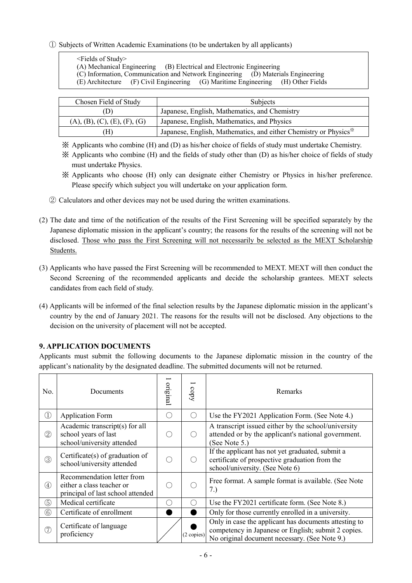### ① Subjects of Written Academic Examinations (to be undertaken by all applicants)

<Fields of Study>

(A) Mechanical Engineering (B) Electrical and Electronic Engineering

(C) Information, Communication and Network Engineering (D) Materials Engineering

(E) Architecture (F) Civil Engineering (G) Maritime Engineering (H) Other Fields

| Chosen Field of Study                                | <b>Subjects</b>                                                               |  |
|------------------------------------------------------|-------------------------------------------------------------------------------|--|
| Japanese, English, Mathematics, and Chemistry<br>[J) |                                                                               |  |
| (A), (B), (C), (E), (F), (G)                         | Japanese, English, Mathematics, and Physics                                   |  |
| H)                                                   | Japanese, English, Mathematics, and either Chemistry or Physics <sup>**</sup> |  |

※ Applicants who combine (H) and (D) as his/her choice of fields of study must undertake Chemistry.

※ Applicants who combine (H) and the fields of study other than (D) as his/her choice of fields of study must undertake Physics.

- ※ Applicants who choose (H) only can designate either Chemistry or Physics in his/her preference. Please specify which subject you will undertake on your application form.
- ② Calculators and other devices may not be used during the written examinations.
- (2) The date and time of the notification of the results of the First Screening will be specified separately by the Japanese diplomatic mission in the applicant's country; the reasons for the results of the screening will not be disclosed. Those who pass the First Screening will not necessarily be selected as the MEXT Scholarship Students.
- (3) Applicants who have passed the First Screening will be recommended to MEXT. MEXT will then conduct the Second Screening of the recommended applicants and decide the scholarship grantees. MEXT selects candidates from each field of study.
- (4) Applicants will be informed of the final selection results by the Japanese diplomatic mission in the applicant's country by the end of January 2021. The reasons for the results will not be disclosed. Any objections to the decision on the university of placement will not be accepted.

## **9. APPLICATION DOCUMENTS**

Applicants must submit the following documents to the Japanese diplomatic mission in the country of the applicant's nationality by the designated deadline. The submitted documents will not be returned.

| No.            | Documents                                                                                    | original | copy                                        | Remarks                                                                                                                                                       |
|----------------|----------------------------------------------------------------------------------------------|----------|---------------------------------------------|---------------------------------------------------------------------------------------------------------------------------------------------------------------|
| Œ              | <b>Application Form</b>                                                                      |          | O                                           | Use the FY2021 Application Form. (See Note 4.)                                                                                                                |
| $^{\circledR}$ | Academic transcript(s) for all<br>school years of last<br>school/university attended         |          | $\left(\begin{array}{c} \end{array}\right)$ | A transcript issued either by the school/university<br>attended or by the applicant's national government.<br>(See Note 5.)                                   |
| 3              | Certificate $(s)$ of graduation of<br>school/university attended                             |          | ( )                                         | If the applicant has not yet graduated, submit a<br>certificate of prospective graduation from the<br>school/university. (See Note 6)                         |
| (4)            | Recommendation letter from<br>either a class teacher or<br>principal of last school attended |          | $\subset$                                   | Free format. A sample format is available. (See Note<br>7.)                                                                                                   |
| $\circledS$    | Medical certificate                                                                          |          | $\left(\begin{array}{c} \end{array}\right)$ | Use the FY2021 certificate form. (See Note 8.)                                                                                                                |
| 6              | Certificate of enrollment                                                                    |          |                                             | Only for those currently enrolled in a university.                                                                                                            |
| (7)            | Certificate of language<br>proficiency                                                       |          | (2 copies)                                  | Only in case the applicant has documents attesting to<br>competency in Japanese or English; submit 2 copies.<br>No original document necessary. (See Note 9.) |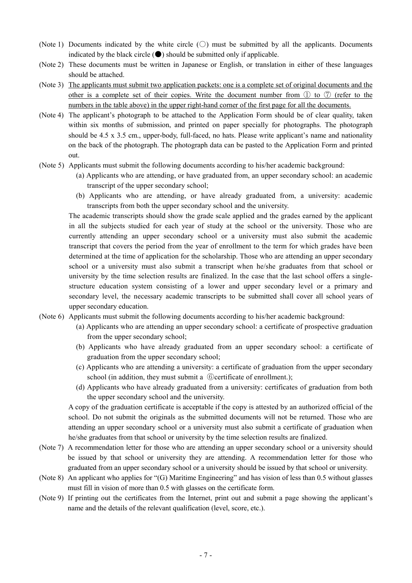- (Note 1) Documents indicated by the white circle  $(\bigcirc)$  must be submitted by all the applicants. Documents indicated by the black circle  $(\bullet)$  should be submitted only if applicable.
- (Note 2) These documents must be written in Japanese or English, or translation in either of these languages should be attached.
- (Note 3) The applicants must submit two application packets: one is a complete set of original documents and the other is a complete set of their copies. Write the document number from  $\mathbb D$  to  $\mathbb D$  (refer to the numbers in the table above) in the upper right-hand corner of the first page for all the documents.
- (Note 4) The applicant's photograph to be attached to the Application Form should be of clear quality, taken within six months of submission, and printed on paper specially for photographs. The photograph should be 4.5 x 3.5 cm., upper-body, full-faced, no hats. Please write applicant's name and nationality on the back of the photograph. The photograph data can be pasted to the Application Form and printed out.
- (Note 5) Applicants must submit the following documents according to his/her academic background:
	- (a) Applicants who are attending, or have graduated from, an upper secondary school: an academic transcript of the upper secondary school;
	- (b) Applicants who are attending, or have already graduated from, a university: academic transcripts from both the upper secondary school and the university.

The academic transcripts should show the grade scale applied and the grades earned by the applicant in all the subjects studied for each year of study at the school or the university. Those who are currently attending an upper secondary school or a university must also submit the academic transcript that covers the period from the year of enrollment to the term for which grades have been determined at the time of application for the scholarship. Those who are attending an upper secondary school or a university must also submit a transcript when he/she graduates from that school or university by the time selection results are finalized. In the case that the last school offers a singlestructure education system consisting of a lower and upper secondary level or a primary and secondary level, the necessary academic transcripts to be submitted shall cover all school years of upper secondary education.

- (Note 6) Applicants must submit the following documents according to his/her academic background:
	- (a) Applicants who are attending an upper secondary school: a certificate of prospective graduation from the upper secondary school;
	- (b) Applicants who have already graduated from an upper secondary school: a certificate of graduation from the upper secondary school;
	- (c) Applicants who are attending a university: a certificate of graduation from the upper secondary school (in addition, they must submit a  $\circled$  ertificate of enrollment.);
	- (d) Applicants who have already graduated from a university: certificates of graduation from both the upper secondary school and the university.

A copy of the graduation certificate is acceptable if the copy is attested by an authorized official of the school. Do not submit the originals as the submitted documents will not be returned. Those who are attending an upper secondary school or a university must also submit a certificate of graduation when he/she graduates from that school or university by the time selection results are finalized.

- (Note 7) A recommendation letter for those who are attending an upper secondary school or a university should be issued by that school or university they are attending. A recommendation letter for those who graduated from an upper secondary school or a university should be issued by that school or university.
- (Note 8) An applicant who applies for "(G) Maritime Engineering" and has vision of less than 0.5 without glasses must fill in vision of more than 0.5 with glasses on the certificate form.
- (Note 9) If printing out the certificates from the Internet, print out and submit a page showing the applicant's name and the details of the relevant qualification (level, score, etc.).